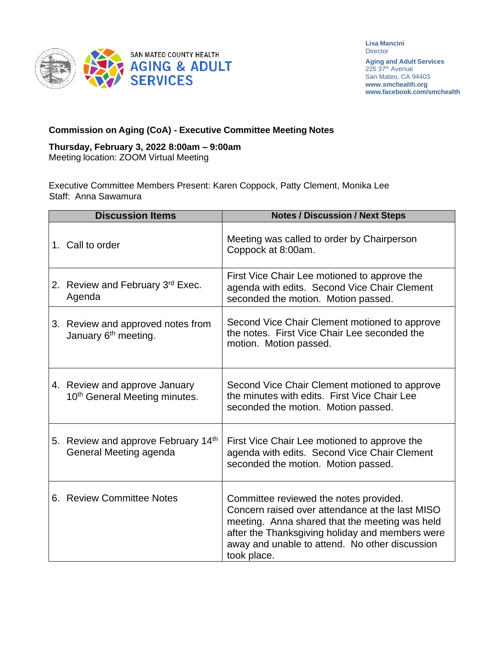

**Lisa Mancini Director** 

**Aging and Adult Services** 225 37<sup>th</sup> Avenue San Mateo, CA 94403 **[www.smchealth.org](http://www.smchealth.org/) [www.facebook.com/smchealth](http://www.facebook.com/smchealth)**

## **Commission on Aging (CoA) - Executive Committee Meeting Notes**

## **Thursday, February 3, 2022 8:00am – 9:00am**

Meeting location: ZOOM Virtual Meeting

Executive Committee Members Present: Karen Coppock, Patty Clement, Monika Lee Staff: Anna Sawamura

| <b>Discussion Items</b> |                                                                            | <b>Notes / Discussion / Next Steps</b>                                                                                                                                                                                                                          |
|-------------------------|----------------------------------------------------------------------------|-----------------------------------------------------------------------------------------------------------------------------------------------------------------------------------------------------------------------------------------------------------------|
|                         | 1. Call to order                                                           | Meeting was called to order by Chairperson<br>Coppock at 8:00am.                                                                                                                                                                                                |
|                         | 2. Review and February 3rd Exec.<br>Agenda                                 | First Vice Chair Lee motioned to approve the<br>agenda with edits. Second Vice Chair Clement<br>seconded the motion. Motion passed.                                                                                                                             |
|                         | 3. Review and approved notes from<br>January 6 <sup>th</sup> meeting.      | Second Vice Chair Clement motioned to approve<br>the notes. First Vice Chair Lee seconded the<br>motion. Motion passed.                                                                                                                                         |
|                         | 4. Review and approve January<br>10 <sup>th</sup> General Meeting minutes. | Second Vice Chair Clement motioned to approve<br>the minutes with edits. First Vice Chair Lee<br>seconded the motion. Motion passed.                                                                                                                            |
|                         | 5. Review and approve February 14th<br>General Meeting agenda              | First Vice Chair Lee motioned to approve the<br>agenda with edits. Second Vice Chair Clement<br>seconded the motion. Motion passed.                                                                                                                             |
|                         | 6. Review Committee Notes                                                  | Committee reviewed the notes provided.<br>Concern raised over attendance at the last MISO<br>meeting. Anna shared that the meeting was held<br>after the Thanksgiving holiday and members were<br>away and unable to attend. No other discussion<br>took place. |